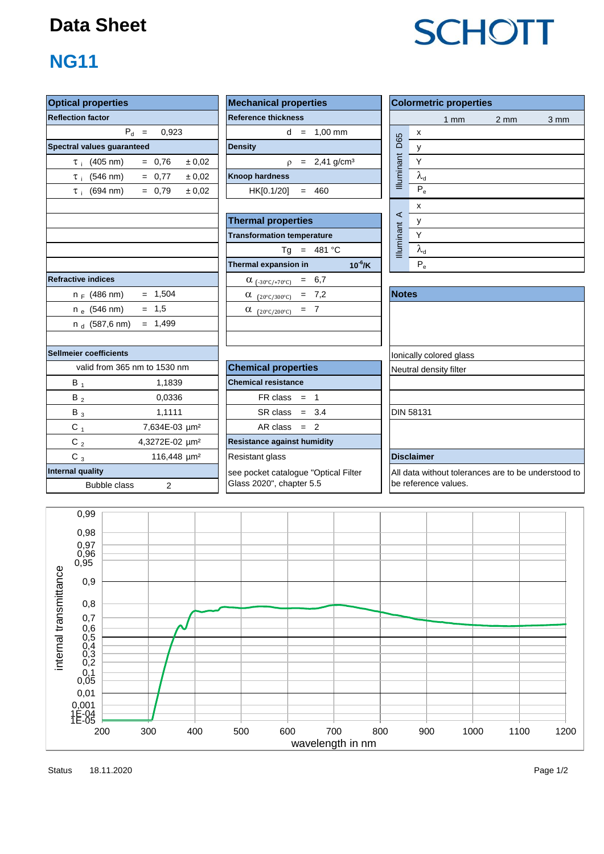## **Data Sheet**

# **NG11**

| <b>Optical properties</b>  |                              |        | <b>Mechanical properties</b>         |              |                         | <b>Colormetric properties</b>                    |                  |      |  |  |  |
|----------------------------|------------------------------|--------|--------------------------------------|--------------|-------------------------|--------------------------------------------------|------------------|------|--|--|--|
| <b>Reflection factor</b>   |                              |        | <b>Reference thickness</b>           |              |                         | $1$ mm                                           | $2 \, \text{mm}$ | 3 mm |  |  |  |
|                            | $P_d =$<br>0,923             |        | $d = 1,00$ mm                        |              |                         | $\pmb{\chi}$                                     |                  |      |  |  |  |
| Spectral values guaranteed |                              |        | <b>Density</b>                       |              | D65                     | y                                                |                  |      |  |  |  |
| $\tau_i$ (405 nm)          | $= 0.76$                     | ± 0,02 | $p = 2,41$ g/cm <sup>3</sup>         |              | <b>Illuminant</b>       | Υ                                                |                  |      |  |  |  |
| $\tau_{\text{i}}$ (546 nm) | $= 0.77$                     | ± 0,02 | <b>Knoop hardness</b>                |              |                         | $\lambda_{\rm d}$                                |                  |      |  |  |  |
| $\tau_i$ (694 nm)          | $= 0.79$                     | ± 0,02 | $= 460$<br>HK[0.1/20]                |              |                         | $P_e$                                            |                  |      |  |  |  |
|                            |                              |        |                                      |              | $\prec$                 | $\pmb{\mathsf{X}}$                               |                  |      |  |  |  |
|                            |                              |        | <b>Thermal properties</b>            |              |                         | у                                                |                  |      |  |  |  |
|                            |                              |        | <b>Transformation temperature</b>    |              | <b>Illuminant</b>       | Y                                                |                  |      |  |  |  |
|                            |                              |        | $Tg = 481 °C$                        |              |                         | $\lambda_{\rm d}$                                |                  |      |  |  |  |
|                            |                              |        | Thermal expansion in                 | $10^{-6}$ /K |                         | $P_e$                                            |                  |      |  |  |  |
| <b>Refractive indices</b>  |                              |        | $\alpha$ (-30°C/+70°C) = 6,7         |              |                         |                                                  |                  |      |  |  |  |
| $n_F$ (486 nm)             | $= 1,504$                    |        | $\alpha$ (20°C/300°C) = 7,2          |              | <b>Notes</b>            |                                                  |                  |      |  |  |  |
| $n_e$ (546 nm)             | $= 1,5$                      |        | $\alpha$ (20°C/200°C) = 7            |              |                         |                                                  |                  |      |  |  |  |
| $n_d$ (587,6 nm)           | $= 1,499$                    |        |                                      |              |                         |                                                  |                  |      |  |  |  |
|                            |                              |        |                                      |              |                         |                                                  |                  |      |  |  |  |
| Sellmeier coefficients     |                              |        |                                      |              | lonically colored glass |                                                  |                  |      |  |  |  |
|                            | valid from 365 nm to 1530 nm |        | <b>Chemical properties</b>           |              |                         | Neutral density filter                           |                  |      |  |  |  |
| $B_1$                      | 1,1839                       |        | <b>Chemical resistance</b>           |              |                         |                                                  |                  |      |  |  |  |
| $B_2$                      | 0.0336                       |        | $FR \text{ class } = 1$              |              |                         |                                                  |                  |      |  |  |  |
| $B_3$                      | 1,1111                       |        | $SR class = 3.4$                     |              |                         | <b>DIN 58131</b>                                 |                  |      |  |  |  |
| $C_{1}$                    | 7,634E-03 µm <sup>2</sup>    |        | $AR class = 2$                       |              |                         |                                                  |                  |      |  |  |  |
| C <sub>2</sub>             | 4,3272E-02 µm <sup>2</sup>   |        | <b>Resistance against humidity</b>   |              |                         |                                                  |                  |      |  |  |  |
| $C_3$                      | 116,448 µm <sup>2</sup>      |        | Resistant glass                      |              |                         | <b>Disclaimer</b>                                |                  |      |  |  |  |
| <b>Internal quality</b>    |                              |        | see pocket catalogue "Optical Filter |              |                         | All data without tolerances are to be understood |                  |      |  |  |  |
| <b>Bubble class</b>        | $\overline{2}$               |        | Glass 2020", chapter 5.5             |              |                         | be reference values.                             |                  |      |  |  |  |

| roperties                      | <b>Mechanical properties</b>        | Colorm            |
|--------------------------------|-------------------------------------|-------------------|
| actor                          | <b>Reference thickness</b>          |                   |
| $P_{d}$ =<br>0.923             | $= 1,00 \text{ mm}$<br><sub>d</sub> | X                 |
| lues guaranteed                | <b>Density</b>                      | D65<br>v          |
| (405 nm)<br>± 0.02<br>$= 0.76$ | $p = 2,41$ g/cm <sup>3</sup>        | <b>Illuminant</b> |
| (546 nm)<br>± 0.02<br>$= 0.77$ | <b>Knoop hardness</b>               | $\lambda_{\sf d}$ |
| (694 nm)<br>± 0.02<br>$= 0.79$ | HK[0.1/20]<br>460                   | $P_e$             |
|                                |                                     |                   |

| <b>Thermal properties</b>                    |                                   |    |
|----------------------------------------------|-----------------------------------|----|
| <b>Transformation temperature</b>            |                                   |    |
| Tq = $481 °C$                                |                                   |    |
| $10^{-6}$ /K<br>Thermal expansion in         |                                   | P, |
| $\alpha_{(-30^{\circ}C/+70^{\circ}C)} = 6.7$ |                                   |    |
| $= 7.2$<br>$(20^{\circ}C/300^{\circ}C)$<br>α | <b>Illuminant</b><br><b>Notes</b> |    |
| $=$ 7<br>α<br>$(20^{\circ}C/200^{\circ}C)$   |                                   |    |
|                                              |                                   |    |

| <b>Transformation temperature</b>                    |              |                        | Υ                       |  |  |  |
|------------------------------------------------------|--------------|------------------------|-------------------------|--|--|--|
| $= 481 °C$<br>Ta                                     |              | Illumina               | $\lambda_{\rm d}$       |  |  |  |
| Thermal expansion in                                 | $10^{-6}$ /K |                        | $P_e$                   |  |  |  |
| 6,7<br>$\alpha$ (-30°C/+70°C)<br>$=$                 |              |                        |                         |  |  |  |
| 7,2<br>α<br>$=$<br>$(20^{\circ}$ C/300 $^{\circ}$ C) |              | <b>Notes</b>           |                         |  |  |  |
| $= 7$<br>α<br>$(20^{\circ}$ C/200 $^{\circ}$ C)      |              |                        |                         |  |  |  |
|                                                      |              |                        |                         |  |  |  |
|                                                      |              |                        |                         |  |  |  |
|                                                      |              |                        | lonically colored glass |  |  |  |
| <b>Chemical properties</b>                           |              | Neutral density filter |                         |  |  |  |
| <b>Chemical resistance</b>                           |              |                        |                         |  |  |  |
| FR class<br>$=$ 1                                    |              |                        |                         |  |  |  |
| $SR class = 3.4$                                     |              |                        | <b>DIN 58131</b>        |  |  |  |
| $AR class = 2$                                       |              |                        |                         |  |  |  |
| <b>Resistance against humidity</b>                   |              |                        |                         |  |  |  |

All data without tolerances are to be understood to be reference values.



Status Page 1/2 18.11.2020